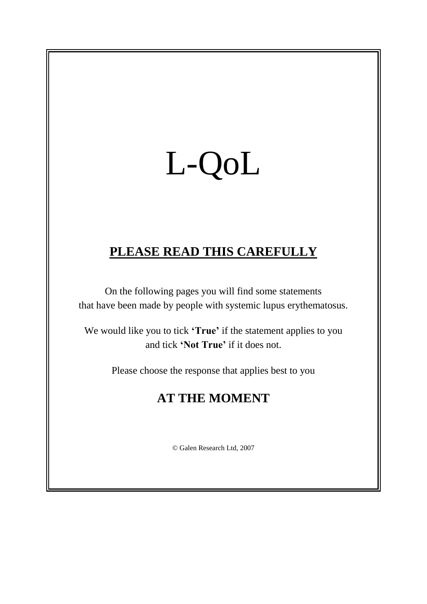## L-QoL

## **PLEASE READ THIS CAREFULLY**

On the following pages you will find some statements that have been made by people with systemic lupus erythematosus.

We would like you to tick **'True'** if the statement applies to you and tick **'Not True'** if it does not.

Please choose the response that applies best to you

## **AT THE MOMENT**

© Galen Research Ltd, 2007